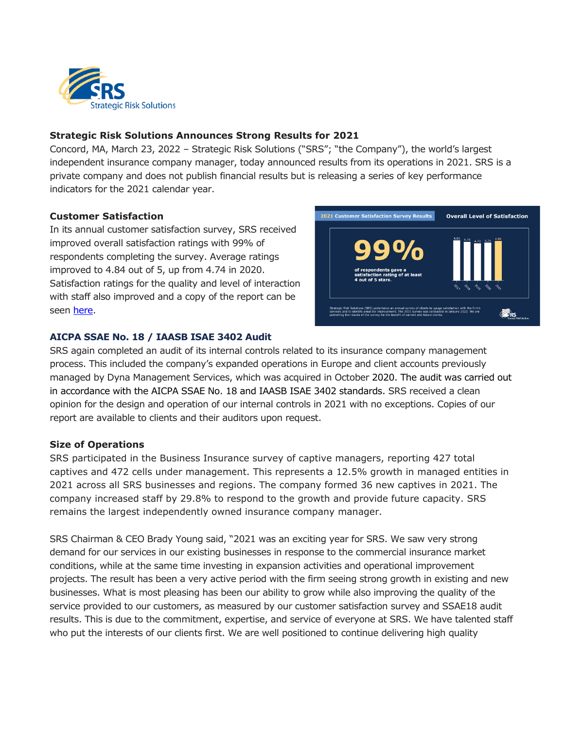

## **Strategic Risk Solutions Announces Strong Results for 2021**

Concord, MA, March 23, 2022 – Strategic Risk Solutions ("SRS"; "the Company"), the world's largest independent insurance company manager, today announced results from its operations in 2021. SRS is a private company and does not publish financial results but is releasing a series of key performance indicators for the 2021 calendar year.

## **Customer Satisfaction**

In its annual customer satisfaction survey, SRS received improved overall satisfaction ratings with 99% of respondents completing the survey. Average ratings improved to 4.84 out of 5, up from 4.74 in 2020. Satisfaction ratings for the quality and level of interaction with staff also improved and a copy of the report can be seen [here.](https://www.strategicrisks.com/wp-content/uploads/2022/02/Customer-Satisfaction-Infographic-.pdf)



## **AICPA SSAE No. 18 / IAASB ISAE 3402 Audit**

SRS again completed an audit of its internal controls related to its insurance company management process. This included the company's expanded operations in Europe and client accounts previously managed by Dyna Management Services, which was acquired in October 2020. The audit was carried out in accordance with the AICPA SSAE No. 18 and IAASB ISAE 3402 standards. SRS received a clean opinion for the design and operation of our internal controls in 2021 with no exceptions. Copies of our report are available to clients and their auditors upon request.

## **Size of Operations**

SRS participated in the Business Insurance survey of captive managers, reporting 427 total captives and 472 cells under management. This represents a 12.5% growth in managed entities in 2021 across all SRS businesses and regions. The company formed 36 new captives in 2021. The company increased staff by 29.8% to respond to the growth and provide future capacity. SRS remains the largest independently owned insurance company manager.

SRS Chairman & CEO Brady Young said, "2021 was an exciting year for SRS. We saw very strong demand for our services in our existing businesses in response to the commercial insurance market conditions, while at the same time investing in expansion activities and operational improvement projects. The result has been a very active period with the firm seeing strong growth in existing and new businesses. What is most pleasing has been our ability to grow while also improving the quality of the service provided to our customers, as measured by our customer satisfaction survey and SSAE18 audit results. This is due to the commitment, expertise, and service of everyone at SRS. We have talented staff who put the interests of our clients first. We are well positioned to continue delivering high quality